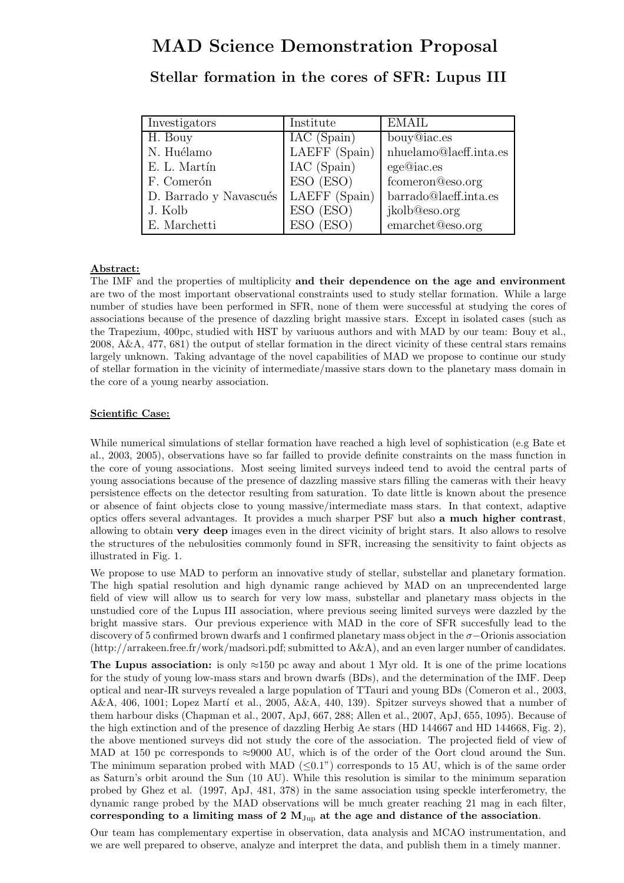# MAD Science Demonstration Proposal

| Stellar formation in the cores of SFR: Lupus III |  |  |  |  |
|--------------------------------------------------|--|--|--|--|
|                                                  |  |  |  |  |

| Investigators          | Institute     | <b>EMAIL</b>                           |
|------------------------|---------------|----------------------------------------|
| H. Bouy                | IAC (Spain)   | bouy@iac.es                            |
| N. Huélamo             | LAEFF (Spain) | $n \hbox{huelamo@laeff.} \label{eq:1}$ |
| E. L. Martín           | IAC (Spain)   | ege@iac.es                             |
| F. Comerón             | ESO (ESO)     | fcomeron@eso.org                       |
| D. Barrado y Navascués | LAEFF (Spain) | barrado@laeff.inta.es                  |
| J. Kolb                | ESO (ESO)     | jkolb@eso.org                          |
| E. Marchetti           | ESO (ESO)     | emarchet@eso.org                       |

### Abstract:

The IMF and the properties of multiplicity and their dependence on the age and environment are two of the most important observational constraints used to study stellar formation. While a large number of studies have been performed in SFR, none of them were successful at studying the cores of associations because of the presence of dazzling bright massive stars. Except in isolated cases (such as the Trapezium, 400pc, studied with HST by variuous authors and with MAD by our team: Bouy et al., 2008, A&A, 477, 681) the output of stellar formation in the direct vicinity of these central stars remains largely unknown. Taking advantage of the novel capabilities of MAD we propose to continue our study of stellar formation in the vicinity of intermediate/massive stars down to the planetary mass domain in the core of a young nearby association.

## Scientific Case:

While numerical simulations of stellar formation have reached a high level of sophistication (e.g Bate et al., 2003, 2005), observations have so far failled to provide definite constraints on the mass function in the core of young associations. Most seeing limited surveys indeed tend to avoid the central parts of young associations because of the presence of dazzling massive stars filling the cameras with their heavy persistence effects on the detector resulting from saturation. To date little is known about the presence or absence of faint objects close to young massive/intermediate mass stars. In that context, adaptive optics offers several advantages. It provides a much sharper PSF but also a much higher contrast, allowing to obtain very deep images even in the direct vicinity of bright stars. It also allows to resolve the structures of the nebulosities commonly found in SFR, increasing the sensitivity to faint objects as illustrated in Fig. 1.

We propose to use MAD to perform an innovative study of stellar, substellar and planetary formation. The high spatial resolution and high dynamic range achieved by MAD on an unprecendented large field of view will allow us to search for very low mass, substellar and planetary mass objects in the unstudied core of the Lupus III association, where previous seeing limited surveys were dazzled by the bright massive stars. Our previous experience with MAD in the core of SFR succesfully lead to the discovery of 5 confirmed brown dwarfs and 1 confirmed planetary mass object in the σ−Orionis association (http://arrakeen.free.fr/work/madsori.pdf; submitted to A&A), and an even larger number of candidates.

The Lupus association: is only  $\approx 150$  pc away and about 1 Myr old. It is one of the prime locations for the study of young low-mass stars and brown dwarfs (BDs), and the determination of the IMF. Deep optical and near-IR surveys revealed a large population of TTauri and young BDs (Comeron et al., 2003, A&A,  $406$ , 1001; Lopez Martí et al., 2005, A&A, 440, 139). Spitzer surveys showed that a number of them harbour disks (Chapman et al., 2007, ApJ, 667, 288; Allen et al., 2007, ApJ, 655, 1095). Because of the high extinction and of the presence of dazzling Herbig Ae stars (HD 144667 and HD 144668, Fig. 2), the above mentioned surveys did not study the core of the association. The projected field of view of MAD at 150 pc corresponds to  $\approx 9000$  AU, which is of the order of the Oort cloud around the Sun. The minimum separation probed with MAD  $(\leq 0.1)$  corresponds to 15 AU, which is of the same order as Saturn's orbit around the Sun (10 AU). While this resolution is similar to the minimum separation probed by Ghez et al. (1997, ApJ, 481, 378) in the same association using speckle interferometry, the dynamic range probed by the MAD observations will be much greater reaching 21 mag in each filter, corresponding to a limiting mass of 2  $M_{Jup}$  at the age and distance of the association.

Our team has complementary expertise in observation, data analysis and MCAO instrumentation, and we are well prepared to observe, analyze and interpret the data, and publish them in a timely manner.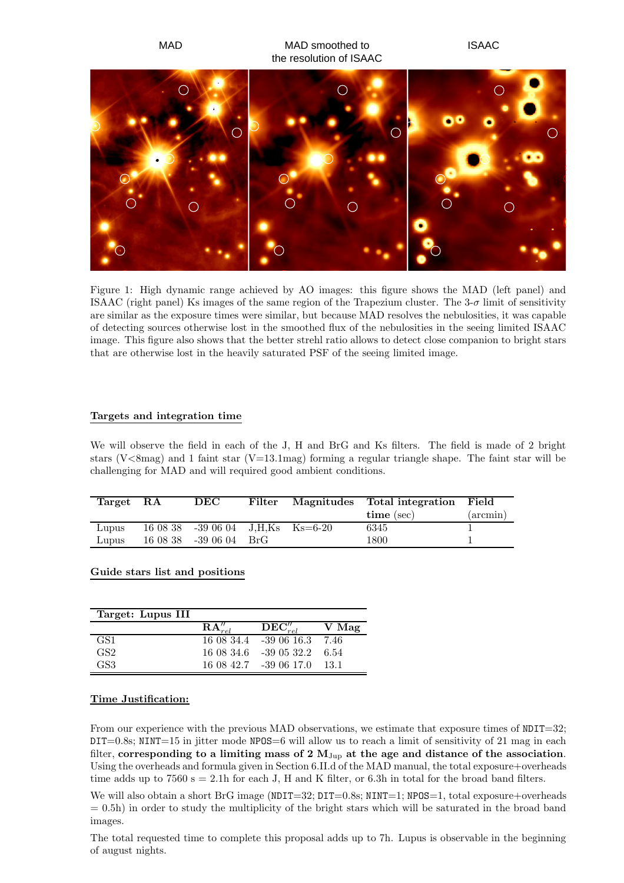

Figure 1: High dynamic range achieved by AO images: this figure shows the MAD (left panel) and ISAAC (right panel) Ks images of the same region of the Trapezium cluster. The  $3-\sigma$  limit of sensitivity are similar as the exposure times were similar, but because MAD resolves the nebulosities, it was capable of detecting sources otherwise lost in the smoothed flux of the nebulosities in the seeing limited ISAAC image. This figure also shows that the better strehl ratio allows to detect close companion to bright stars that are otherwise lost in the heavily saturated PSF of the seeing limited image.

### Targets and integration time

We will observe the field in each of the J, H and BrG and Ks filters. The field is made of 2 bright stars ( $V\leq 8$ mag) and 1 faint star ( $V=13.1$ mag) forming a regular triangle shape. The faint star will be challenging for MAD and will required good ambient conditions.

| $\operatorname{Target}$ | $_{\rm RA}$ | DEC                              | Filter | Magnitudes Total integration Field |             |
|-------------------------|-------------|----------------------------------|--------|------------------------------------|-------------|
|                         |             |                                  |        | $time$ (sec)                       | $(\arcsin)$ |
| Lupus                   |             | $160838 - 390604$ J.H.Ks Ks=6-20 |        | 6345                               |             |
| Lupus                   |             | 16 08 38 - 39 06 04 BrG          |        | 1800                               |             |

### Guide stars list and positions

| Target: Lupus III |                    |                                   |        |
|-------------------|--------------------|-----------------------------------|--------|
|                   | ${\bf RA}''_{rel}$ | $\overline{\mathbf{DEC}''_{rel}}$ | V Mag  |
| GS1               |                    | 16 08 34.4 - 39 06 16.3           | - 7.46 |
| GS <sub>2</sub>   |                    | 16 08 34.6 -39 05 32.2            | 6.54   |
| GS <sub>3</sub>   |                    | 16 08 42.7 -39 06 17.0            | -13-1  |

#### Time Justification:

From our experience with the previous MAD observations, we estimate that exposure times of  $NDIT=32$ ;  $DT=0.8$ s; NINT=15 in jitter mode NPOS=6 will allow us to reach a limit of sensitivity of 21 mag in each filter, corresponding to a limiting mass of 2  $M_{Jup}$  at the age and distance of the association. Using the overheads and formula given in Section 6.II.d of the MAD manual, the total exposure+overheads time adds up to  $7560 s = 2.1h$  for each J, H and K filter, or 6.3h in total for the broad band filters.

We will also obtain a short BrG image ( $NDIT=32$ ;  $DIT=0.8$ s;  $NINT=1$ ;  $NPOS=1$ , total exposure+overheads  $= 0.5h$ ) in order to study the multiplicity of the bright stars which will be saturated in the broad band images.

The total requested time to complete this proposal adds up to 7h. Lupus is observable in the beginning of august nights.